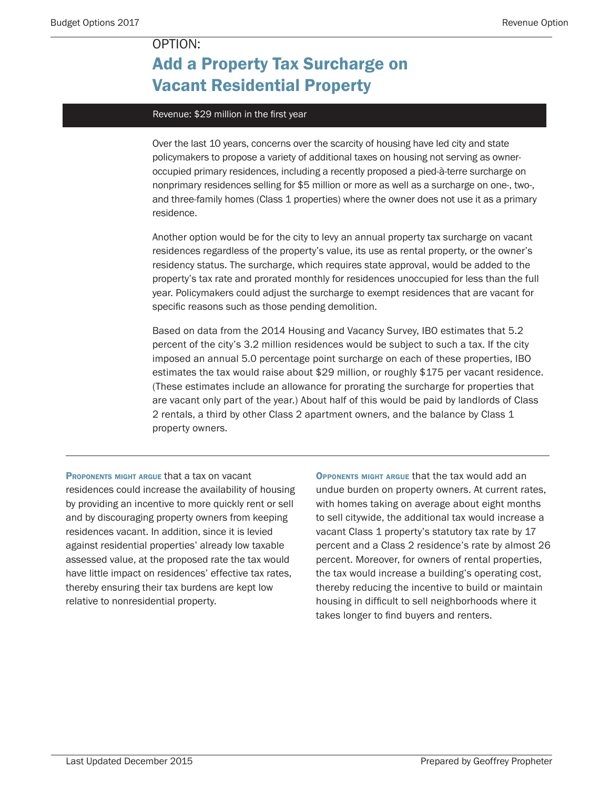## Add a Property Tax Surcharge on Vacant Residential Property

### Revenue: \$29 million in the first year

Over the last 10 years, concerns over the scarcity of housing have led city and state policymakers to propose a variety of additional taxes on housing not serving as owneroccupied primary residences, including a recently proposed a pied-à-terre surcharge on nonprimary residences selling for \$5 million or more as well as a surcharge on one-, two-, and three-family homes (Class 1 properties) where the owner does not use it as a primary residence.

Another option would be for the city to levy an annual property tax surcharge on vacant residences regardless of the property's value, its use as rental property, or the owner's residency status. The surcharge, which requires state approval, would be added to the property's tax rate and prorated monthly for residences unoccupied for less than the full year. Policymakers could adjust the surcharge to exempt residences that are vacant for specific reasons such as those pending demolition.

Based on data from the 2014 Housing and Vacancy Survey, IBO estimates that 5.2 percent of the city's 3.2 million residences would be subject to such a tax. If the city imposed an annual 5.0 percentage point surcharge on each of these properties, IBO estimates the tax would raise about \$29 million, or roughly \$175 per vacant residence. (These estimates include an allowance for prorating the surcharge for properties that are vacant only part of the year.) About half of this would be paid by landlords of Class 2 rentals, a third by other Class 2 apartment owners, and the balance by Class 1 property owners.

PROPONENTS MIGHT ARGUE that a tax on vacant residences could increase the availability of housing by providing an incentive to more quickly rent or sell and by discouraging property owners from keeping residences vacant. In addition, since it is levied against residential properties' already low taxable assessed value, at the proposed rate the tax would have little impact on residences' effective tax rates, thereby ensuring their tax burdens are kept low relative to nonresidential property.

Opponents might argue that the tax would add an undue burden on property owners. At current rates, with homes taking on average about eight months to sell citywide, the additional tax would increase a vacant Class 1 property's statutory tax rate by 17 percent and a Class 2 residence's rate by almost 26 percent. Moreover, for owners of rental properties, the tax would increase a building's operating cost, thereby reducing the incentive to build or maintain housing in difficult to sell neighborhoods where it takes longer to find buyers and renters.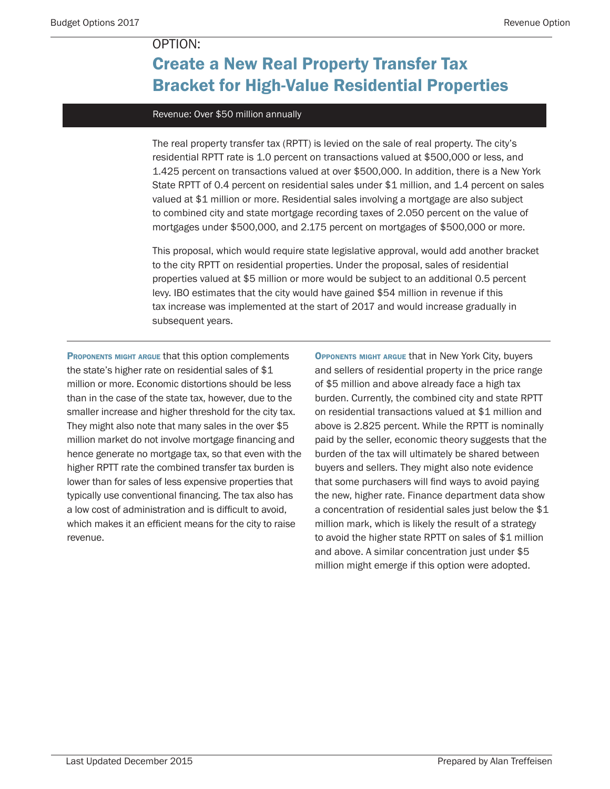## Create a New Real Property Transfer Tax Bracket for High-Value Residential Properties

#### Revenue: Over \$50 million annually

The real property transfer tax (RPTT) is levied on the sale of real property. The city's residential RPTT rate is 1.0 percent on transactions valued at \$500,000 or less, and 1.425 percent on transactions valued at over \$500,000. In addition, there is a New York State RPTT of 0.4 percent on residential sales under \$1 million, and 1.4 percent on sales valued at \$1 million or more. Residential sales involving a mortgage are also subject to combined city and state mortgage recording taxes of 2.050 percent on the value of mortgages under \$500,000, and 2.175 percent on mortgages of \$500,000 or more.

This proposal, which would require state legislative approval, would add another bracket to the city RPTT on residential properties. Under the proposal, sales of residential properties valued at \$5 million or more would be subject to an additional 0.5 percent levy. IBO estimates that the city would have gained \$54 million in revenue if this tax increase was implemented at the start of 2017 and would increase gradually in subsequent years.

PROPONENTS MIGHT ARGUE that this option complements the state's higher rate on residential sales of \$1 million or more. Economic distortions should be less than in the case of the state tax, however, due to the smaller increase and higher threshold for the city tax. They might also note that many sales in the over \$5 million market do not involve mortgage financing and hence generate no mortgage tax, so that even with the higher RPTT rate the combined transfer tax burden is lower than for sales of less expensive properties that typically use conventional financing. The tax also has a low cost of administration and is difficult to avoid, which makes it an efficient means for the city to raise revenue.

Opponents might argue that in New York City, buyers and sellers of residential property in the price range of \$5 million and above already face a high tax burden. Currently, the combined city and state RPTT on residential transactions valued at \$1 million and above is 2.825 percent. While the RPTT is nominally paid by the seller, economic theory suggests that the burden of the tax will ultimately be shared between buyers and sellers. They might also note evidence that some purchasers will find ways to avoid paying the new, higher rate. Finance department data show a concentration of residential sales just below the \$1 million mark, which is likely the result of a strategy to avoid the higher state RPTT on sales of \$1 million and above. A similar concentration just under \$5 million might emerge if this option were adopted.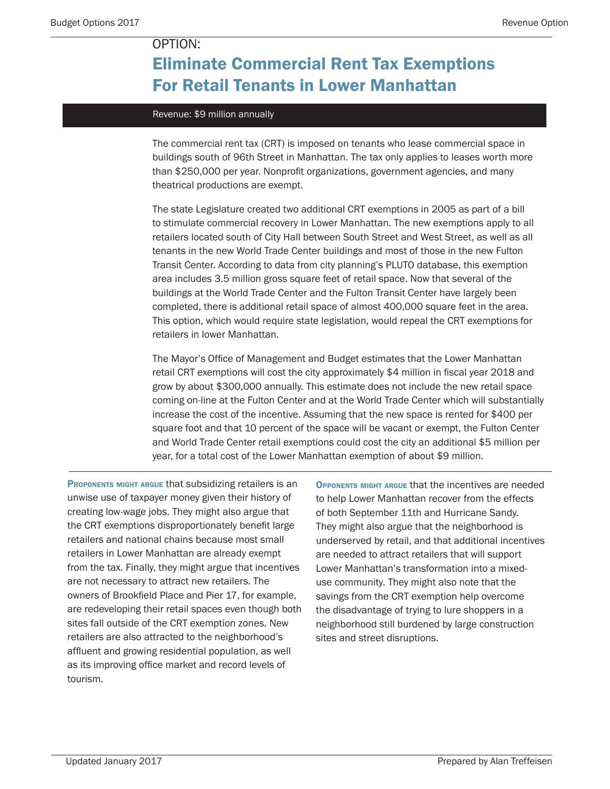## Eliminate Commercial Rent Tax Exemptions For Retail Tenants in Lower Manhattan

#### Revenue: \$9 million annually

The commercial rent tax (CRT) is imposed on tenants who lease commercial space in buildings south of 96th Street in Manhattan. The tax only applies to leases worth more than \$250,000 per year. Nonprofit organizations, government agencies, and many theatrical productions are exempt.

The state Legislature created two additional CRT exemptions in 2005 as part of a bill to stimulate commercial recovery in Lower Manhattan. The new exemptions apply to all retailers located south of City Hall between South Street and West Street, as well as all tenants in the new World Trade Center buildings and most of those in the new Fulton Transit Center. According to data from city planning's PLUTO database, this exemption area includes 3.5 million gross square feet of retail space. Now that several of the buildings at the World Trade Center and the Fulton Transit Center have largely been completed, there is additional retail space of almost 400,000 square feet in the area. This option, which would require state legislation, would repeal the CRT exemptions for retailers in lower Manhattan.

The Mayor's Office of Management and Budget estimates that the Lower Manhattan retail CRT exemptions will cost the city approximately \$4 million in fiscal year 2018 and grow by about \$300,000 annually. This estimate does not include the new retail space coming on-line at the Fulton Center and at the World Trade Center which will substantially increase the cost of the incentive. Assuming that the new space is rented for \$400 per square foot and that 10 percent of the space will be vacant or exempt, the Fulton Center and World Trade Center retail exemptions could cost the city an additional \$5 million per year, for a total cost of the Lower Manhattan exemption of about \$9 million.

PROPONENTS MIGHT ARGUE that subsidizing retailers is an unwise use of taxpayer money given their history of creating low-wage jobs. They might also argue that the CRT exemptions disproportionately benefit large retailers and national chains because most small retailers in Lower Manhattan are already exempt from the tax. Finally, they might argue that incentives are not necessary to attract new retailers. The owners of Brookfield Place and Pier 17, for example, are redeveloping their retail spaces even though both sites fall outside of the CRT exemption zones. New retailers are also attracted to the neighborhood's affluent and growing residential population, as well as its improving office market and record levels of tourism.

Opponents might argue that the incentives are needed to help Lower Manhattan recover from the effects of both September 11th and Hurricane Sandy. They might also argue that the neighborhood is underserved by retail, and that additional incentives are needed to attract retailers that will support Lower Manhattan's transformation into a mixeduse community. They might also note that the savings from the CRT exemption help overcome the disadvantage of trying to lure shoppers in a neighborhood still burdened by large construction sites and street disruptions.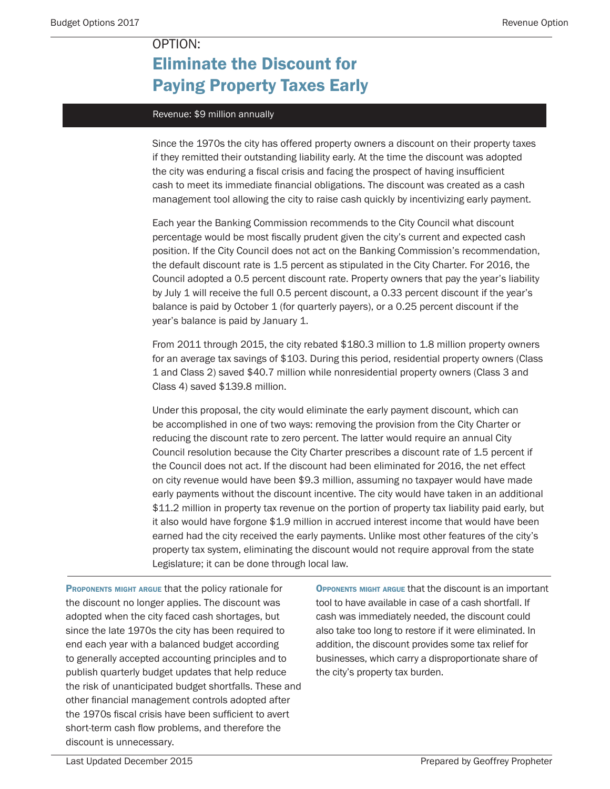# Eliminate the Discount for Paying Property Taxes Early

#### Revenue: \$9 million annually

OPTION:

Since the 1970s the city has offered property owners a discount on their property taxes if they remitted their outstanding liability early. At the time the discount was adopted the city was enduring a fiscal crisis and facing the prospect of having insufficient cash to meet its immediate financial obligations. The discount was created as a cash management tool allowing the city to raise cash quickly by incentivizing early payment.

Each year the Banking Commission recommends to the City Council what discount percentage would be most fiscally prudent given the city's current and expected cash position. If the City Council does not act on the Banking Commission's recommendation, the default discount rate is 1.5 percent as stipulated in the City Charter. For 2016, the Council adopted a 0.5 percent discount rate. Property owners that pay the year's liability by July 1 will receive the full 0.5 percent discount, a 0.33 percent discount if the year's balance is paid by October 1 (for quarterly payers), or a 0.25 percent discount if the year's balance is paid by January 1.

From 2011 through 2015, the city rebated \$180.3 million to 1.8 million property owners for an average tax savings of \$103. During this period, residential property owners (Class 1 and Class 2) saved \$40.7 million while nonresidential property owners (Class 3 and Class 4) saved \$139.8 million.

Under this proposal, the city would eliminate the early payment discount, which can be accomplished in one of two ways: removing the provision from the City Charter or reducing the discount rate to zero percent. The latter would require an annual City Council resolution because the City Charter prescribes a discount rate of 1.5 percent if the Council does not act. If the discount had been eliminated for 2016, the net effect on city revenue would have been \$9.3 million, assuming no taxpayer would have made early payments without the discount incentive. The city would have taken in an additional \$11.2 million in property tax revenue on the portion of property tax liability paid early, but it also would have forgone \$1.9 million in accrued interest income that would have been earned had the city received the early payments. Unlike most other features of the city's property tax system, eliminating the discount would not require approval from the state Legislature; it can be done through local law.

PROPONENTS MIGHT ARGUE that the policy rationale for the discount no longer applies. The discount was adopted when the city faced cash shortages, but since the late 1970s the city has been required to end each year with a balanced budget according to generally accepted accounting principles and to publish quarterly budget updates that help reduce the risk of unanticipated budget shortfalls. These and other financial management controls adopted after the 1970s fiscal crisis have been sufficient to avert short-term cash flow problems, and therefore the discount is unnecessary.

Opponents might argue that the discount is an important tool to have available in case of a cash shortfall. If cash was immediately needed, the discount could also take too long to restore if it were eliminated. In addition, the discount provides some tax relief for businesses, which carry a disproportionate share of the city's property tax burden.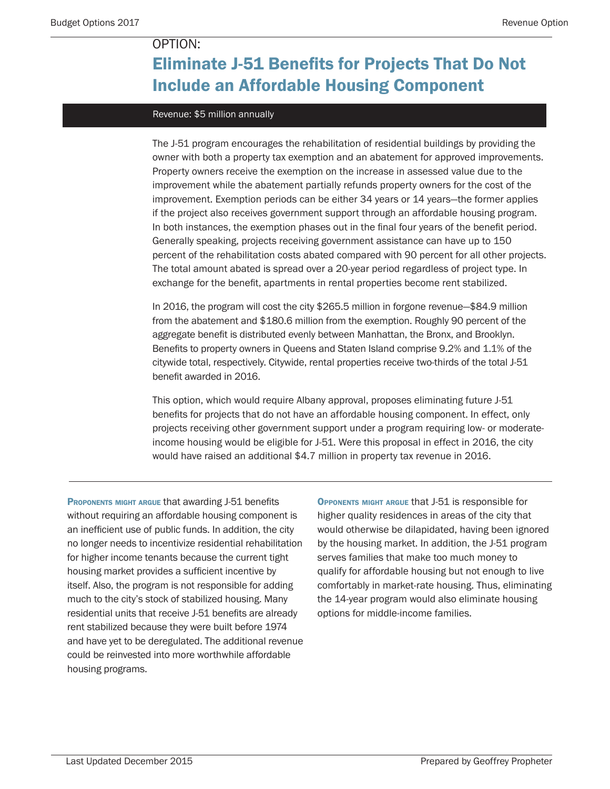## Eliminate J-51 Benefits for Projects That Do Not Include an Affordable Housing Component

#### Revenue: \$5 million annually

The J-51 program encourages the rehabilitation of residential buildings by providing the owner with both a property tax exemption and an abatement for approved improvements. Property owners receive the exemption on the increase in assessed value due to the improvement while the abatement partially refunds property owners for the cost of the improvement. Exemption periods can be either 34 years or 14 years—the former applies if the project also receives government support through an affordable housing program. In both instances, the exemption phases out in the final four years of the benefit period. Generally speaking, projects receiving government assistance can have up to 150 percent of the rehabilitation costs abated compared with 90 percent for all other projects. The total amount abated is spread over a 20-year period regardless of project type. In exchange for the benefit, apartments in rental properties become rent stabilized.

In 2016, the program will cost the city \$265.5 million in forgone revenue—\$84.9 million from the abatement and \$180.6 million from the exemption. Roughly 90 percent of the aggregate benefit is distributed evenly between Manhattan, the Bronx, and Brooklyn. Benefits to property owners in Queens and Staten Island comprise 9.2% and 1.1% of the citywide total, respectively. Citywide, rental properties receive two-thirds of the total J-51 benefit awarded in 2016.

This option, which would require Albany approval, proposes eliminating future J-51 benefits for projects that do not have an affordable housing component. In effect, only projects receiving other government support under a program requiring low- or moderateincome housing would be eligible for J-51. Were this proposal in effect in 2016, the city would have raised an additional \$4.7 million in property tax revenue in 2016.

PROPONENTS MIGHT ARGUE that awarding J-51 benefits without requiring an affordable housing component is an inefficient use of public funds. In addition, the city no longer needs to incentivize residential rehabilitation for higher income tenants because the current tight housing market provides a sufficient incentive by itself. Also, the program is not responsible for adding much to the city's stock of stabilized housing. Many residential units that receive J-51 benefits are already rent stabilized because they were built before 1974 and have yet to be deregulated. The additional revenue could be reinvested into more worthwhile affordable housing programs.

Opponents might argue that J-51 is responsible for higher quality residences in areas of the city that would otherwise be dilapidated, having been ignored by the housing market. In addition, the J-51 program serves families that make too much money to qualify for affordable housing but not enough to live comfortably in market-rate housing. Thus, eliminating the 14-year program would also eliminate housing options for middle-income families.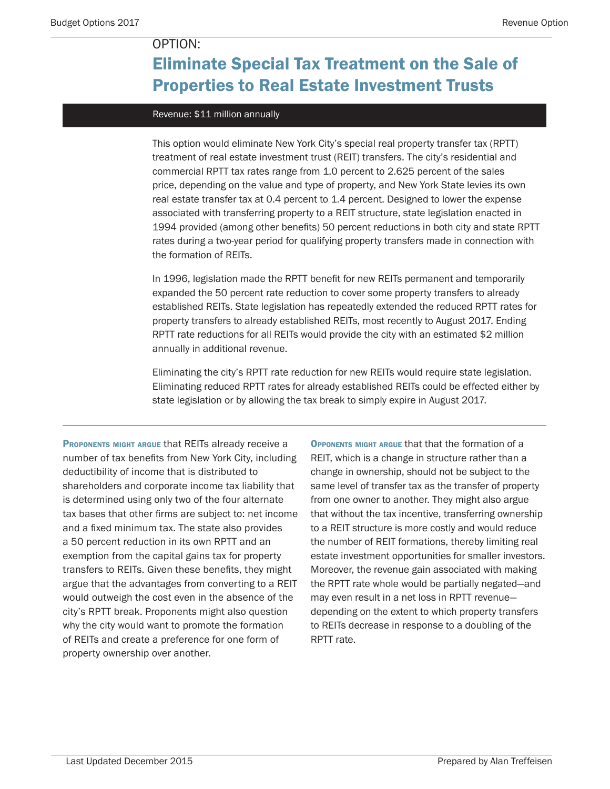## Eliminate Special Tax Treatment on the Sale of Properties to Real Estate Investment Trusts

#### Revenue: \$11 million annually

This option would eliminate New York City's special real property transfer tax (RPTT) treatment of real estate investment trust (REIT) transfers. The city's residential and commercial RPTT tax rates range from 1.0 percent to 2.625 percent of the sales price, depending on the value and type of property, and New York State levies its own real estate transfer tax at 0.4 percent to 1.4 percent. Designed to lower the expense associated with transferring property to a REIT structure, state legislation enacted in 1994 provided (among other benefits) 50 percent reductions in both city and state RPTT rates during a two-year period for qualifying property transfers made in connection with the formation of REITs.

In 1996, legislation made the RPTT benefit for new REITs permanent and temporarily expanded the 50 percent rate reduction to cover some property transfers to already established REITs. State legislation has repeatedly extended the reduced RPTT rates for property transfers to already established REITs, most recently to August 2017. Ending RPTT rate reductions for all REITs would provide the city with an estimated \$2 million annually in additional revenue.

Eliminating the city's RPTT rate reduction for new REITs would require state legislation. Eliminating reduced RPTT rates for already established REITs could be effected either by state legislation or by allowing the tax break to simply expire in August 2017.

PROPONENTS MIGHT ARGUE that REITS already receive a number of tax benefits from New York City, including deductibility of income that is distributed to shareholders and corporate income tax liability that is determined using only two of the four alternate tax bases that other firms are subject to: net income and a fixed minimum tax. The state also provides a 50 percent reduction in its own RPTT and an exemption from the capital gains tax for property transfers to REITs. Given these benefits, they might argue that the advantages from converting to a REIT would outweigh the cost even in the absence of the city's RPTT break. Proponents might also question why the city would want to promote the formation of REITs and create a preference for one form of property ownership over another.

Opponents might argue that that the formation of a REIT, which is a change in structure rather than a change in ownership, should not be subject to the same level of transfer tax as the transfer of property from one owner to another. They might also argue that without the tax incentive, transferring ownership to a REIT structure is more costly and would reduce the number of REIT formations, thereby limiting real estate investment opportunities for smaller investors. Moreover, the revenue gain associated with making the RPTT rate whole would be partially negated—and may even result in a net loss in RPTT revenue depending on the extent to which property transfers to REITs decrease in response to a doubling of the RPTT rate.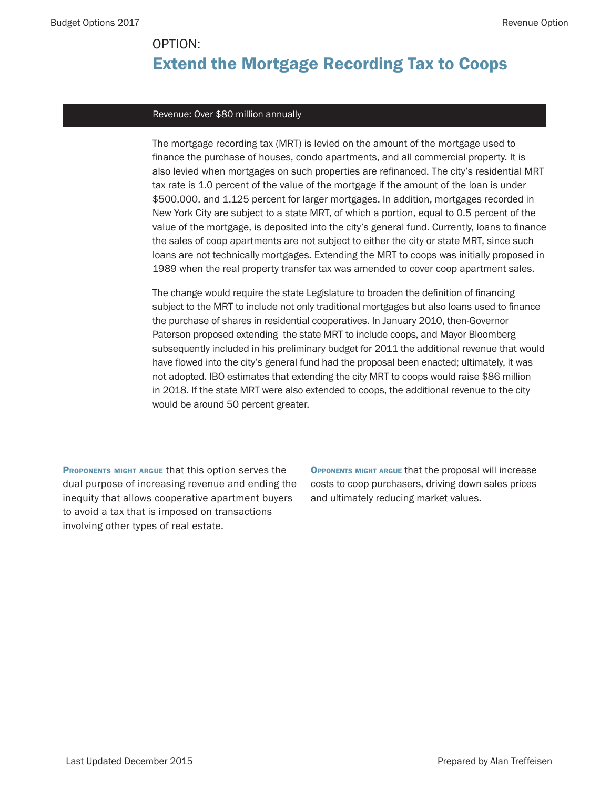## Extend the Mortgage Recording Tax to Coops

#### Revenue: Over \$80 million annually

The mortgage recording tax (MRT) is levied on the amount of the mortgage used to finance the purchase of houses, condo apartments, and all commercial property. It is also levied when mortgages on such properties are refinanced. The city's residential MRT tax rate is 1.0 percent of the value of the mortgage if the amount of the loan is under \$500,000, and 1.125 percent for larger mortgages. In addition, mortgages recorded in New York City are subject to a state MRT, of which a portion, equal to 0.5 percent of the value of the mortgage, is deposited into the city's general fund. Currently, loans to finance the sales of coop apartments are not subject to either the city or state MRT, since such loans are not technically mortgages. Extending the MRT to coops was initially proposed in 1989 when the real property transfer tax was amended to cover coop apartment sales.

The change would require the state Legislature to broaden the definition of financing subject to the MRT to include not only traditional mortgages but also loans used to finance the purchase of shares in residential cooperatives. In January 2010, then-Governor Paterson proposed extending the state MRT to include coops, and Mayor Bloomberg subsequently included in his preliminary budget for 2011 the additional revenue that would have flowed into the city's general fund had the proposal been enacted; ultimately, it was not adopted. IBO estimates that extending the city MRT to coops would raise \$86 million in 2018. If the state MRT were also extended to coops, the additional revenue to the city would be around 50 percent greater.

PROPONENTS MIGHT ARGUE that this option serves the dual purpose of increasing revenue and ending the inequity that allows cooperative apartment buyers to avoid a tax that is imposed on transactions involving other types of real estate.

Opponents might argue that the proposal will increase costs to coop purchasers, driving down sales prices and ultimately reducing market values.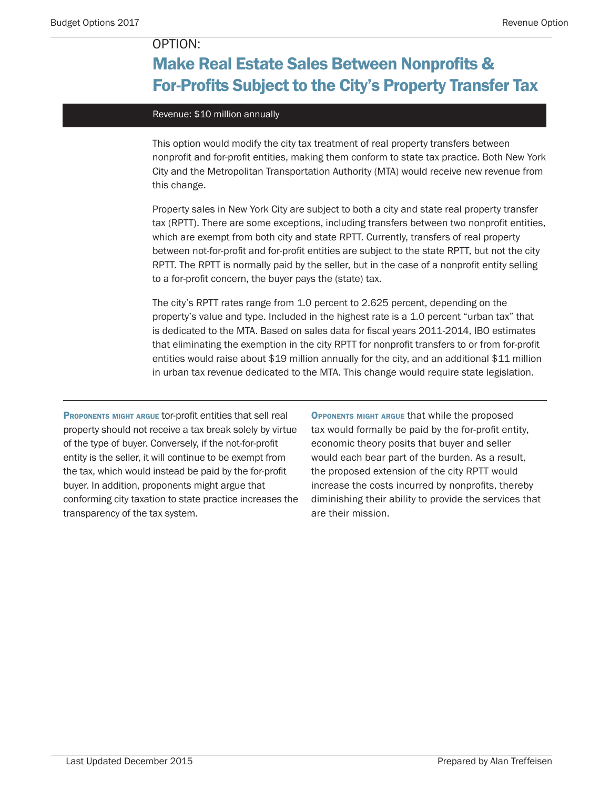## Make Real Estate Sales Between Nonprofits & For-Profits Subject to the City's Property Transfer Tax

#### Revenue: \$10 million annually

This option would modify the city tax treatment of real property transfers between nonprofit and for-profit entities, making them conform to state tax practice. Both New York City and the Metropolitan Transportation Authority (MTA) would receive new revenue from this change.

Property sales in New York City are subject to both a city and state real property transfer tax (RPTT). There are some exceptions, including transfers between two nonprofit entities, which are exempt from both city and state RPTT. Currently, transfers of real property between not-for-profit and for-profit entities are subject to the state RPTT, but not the city RPTT. The RPTT is normally paid by the seller, but in the case of a nonprofit entity selling to a for-profit concern, the buyer pays the (state) tax.

The city's RPTT rates range from 1.0 percent to 2.625 percent, depending on the property's value and type. Included in the highest rate is a 1.0 percent "urban tax" that is dedicated to the MTA. Based on sales data for fiscal years 2011-2014, IBO estimates that eliminating the exemption in the city RPTT for nonprofit transfers to or from for-profit entities would raise about \$19 million annually for the city, and an additional \$11 million in urban tax revenue dedicated to the MTA. This change would require state legislation.

PROPONENTS MIGHT ARGUE TOT-profit entities that sell real property should not receive a tax break solely by virtue of the type of buyer. Conversely, if the not-for-profit entity is the seller, it will continue to be exempt from the tax, which would instead be paid by the for-profit buyer. In addition, proponents might argue that conforming city taxation to state practice increases the transparency of the tax system.

Opponents might argue that while the proposed tax would formally be paid by the for-profit entity, economic theory posits that buyer and seller would each bear part of the burden. As a result, the proposed extension of the city RPTT would increase the costs incurred by nonprofits, thereby diminishing their ability to provide the services that are their mission.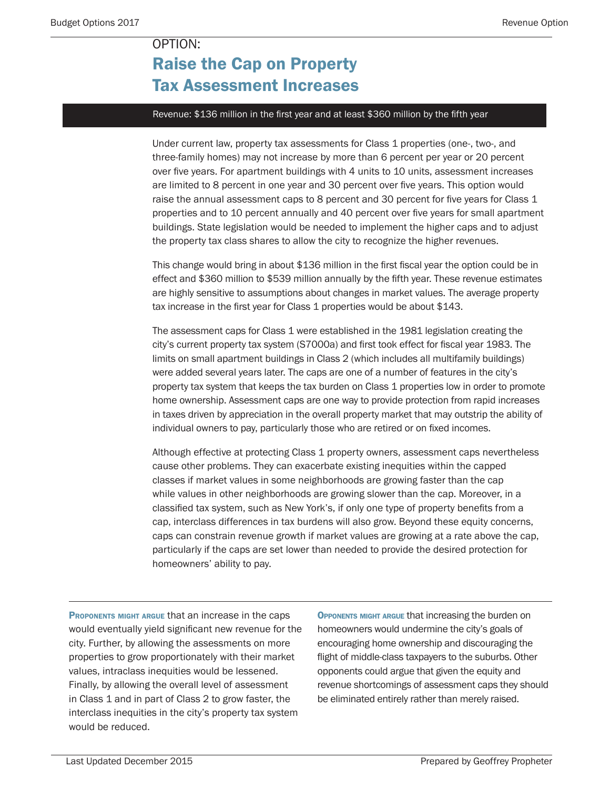## Raise the Cap on Property Tax Assessment Increases

#### Revenue: \$136 million in the first year and at least \$360 million by the fifth year

Under current law, property tax assessments for Class 1 properties (one-, two-, and three-family homes) may not increase by more than 6 percent per year or 20 percent over five years. For apartment buildings with 4 units to 10 units, assessment increases are limited to 8 percent in one year and 30 percent over five years. This option would raise the annual assessment caps to 8 percent and 30 percent for five years for Class 1 properties and to 10 percent annually and 40 percent over five years for small apartment buildings. State legislation would be needed to implement the higher caps and to adjust the property tax class shares to allow the city to recognize the higher revenues.

This change would bring in about \$136 million in the first fiscal year the option could be in effect and \$360 million to \$539 million annually by the fifth year. These revenue estimates are highly sensitive to assumptions about changes in market values. The average property tax increase in the first year for Class 1 properties would be about \$143.

The assessment caps for Class 1 were established in the 1981 legislation creating the city's current property tax system (S7000a) and first took effect for fiscal year 1983. The limits on small apartment buildings in Class 2 (which includes all multifamily buildings) were added several years later. The caps are one of a number of features in the city's property tax system that keeps the tax burden on Class 1 properties low in order to promote home ownership. Assessment caps are one way to provide protection from rapid increases in taxes driven by appreciation in the overall property market that may outstrip the ability of individual owners to pay, particularly those who are retired or on fixed incomes.

Although effective at protecting Class 1 property owners, assessment caps nevertheless cause other problems. They can exacerbate existing inequities within the capped classes if market values in some neighborhoods are growing faster than the cap while values in other neighborhoods are growing slower than the cap. Moreover, in a classified tax system, such as New York's, if only one type of property benefits from a cap, interclass differences in tax burdens will also grow. Beyond these equity concerns, caps can constrain revenue growth if market values are growing at a rate above the cap, particularly if the caps are set lower than needed to provide the desired protection for homeowners' ability to pay.

PROPONENTS MIGHT ARGUE that an increase in the caps would eventually yield significant new revenue for the city. Further, by allowing the assessments on more properties to grow proportionately with their market values, intraclass inequities would be lessened. Finally, by allowing the overall level of assessment in Class 1 and in part of Class 2 to grow faster, the interclass inequities in the city's property tax system would be reduced.

Opponents might argue that increasing the burden on homeowners would undermine the city's goals of encouraging home ownership and discouraging the flight of middle-class taxpayers to the suburbs. Other opponents could argue that given the equity and revenue shortcomings of assessment caps they should be eliminated entirely rather than merely raised.